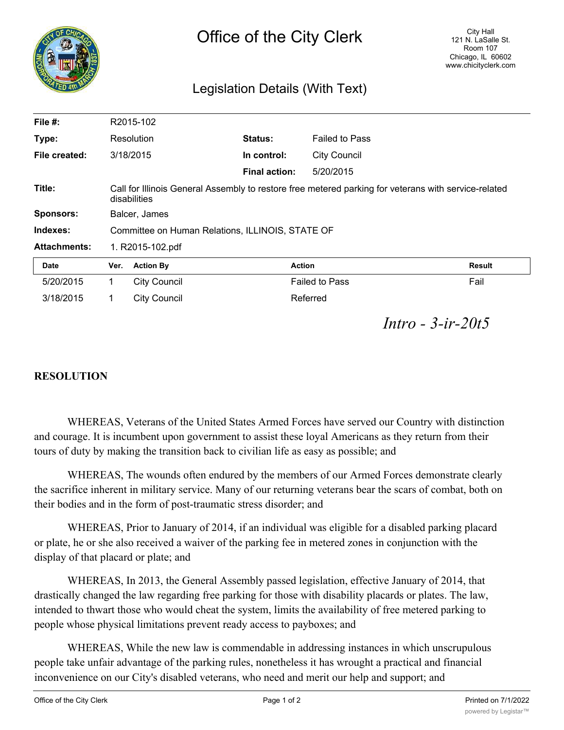|                     |                                                                                                                      | Office of the City Clerk        |                      |                       | City Hall<br>121 N. LaSalle St.<br>Room 107<br>Chicago, IL 60602<br>www.chicityclerk.com |
|---------------------|----------------------------------------------------------------------------------------------------------------------|---------------------------------|----------------------|-----------------------|------------------------------------------------------------------------------------------|
|                     |                                                                                                                      | Legislation Details (With Text) |                      |                       |                                                                                          |
| File $#$ :          |                                                                                                                      | R2015-102                       |                      |                       |                                                                                          |
| Type:               |                                                                                                                      | Resolution                      | <b>Status:</b>       | <b>Failed to Pass</b> |                                                                                          |
| File created:       |                                                                                                                      | 3/18/2015                       | In control:          | <b>City Council</b>   |                                                                                          |
|                     |                                                                                                                      |                                 | <b>Final action:</b> | 5/20/2015             |                                                                                          |
| Title:              | Call for Illinois General Assembly to restore free metered parking for veterans with service-related<br>disabilities |                                 |                      |                       |                                                                                          |
| <b>Sponsors:</b>    | Balcer, James                                                                                                        |                                 |                      |                       |                                                                                          |
| Indexes:            | Committee on Human Relations, ILLINOIS, STATE OF                                                                     |                                 |                      |                       |                                                                                          |
| <b>Attachments:</b> | 1. R2015-102.pdf                                                                                                     |                                 |                      |                       |                                                                                          |
| <b>Date</b>         | <b>Action By</b><br><b>Action</b><br>Ver.                                                                            |                                 |                      | <b>Result</b>         |                                                                                          |
| 5/20/2015           | 1                                                                                                                    | <b>City Council</b>             |                      | <b>Failed to Pass</b> |                                                                                          |

## *Intro - 3-ir-20t5*

## **RESOLUTION**

WHEREAS, Veterans of the United States Armed Forces have served our Country with distinction and courage. It is incumbent upon government to assist these loyal Americans as they return from their tours of duty by making the transition back to civilian life as easy as possible; and

3/18/2015 1 City Council 2018 1999 Referred

WHEREAS, The wounds often endured by the members of our Armed Forces demonstrate clearly the sacrifice inherent in military service. Many of our returning veterans bear the scars of combat, both on their bodies and in the form of post-traumatic stress disorder; and

WHEREAS, Prior to January of 2014, if an individual was eligible for a disabled parking placard or plate, he or she also received a waiver of the parking fee in metered zones in conjunction with the display of that placard or plate; and

WHEREAS, In 2013, the General Assembly passed legislation, effective January of 2014, that drastically changed the law regarding free parking for those with disability placards or plates. The law, intended to thwart those who would cheat the system, limits the availability of free metered parking to people whose physical limitations prevent ready access to payboxes; and

WHEREAS, While the new law is commendable in addressing instances in which unscrupulous people take unfair advantage of the parking rules, nonetheless it has wrought a practical and financial inconvenience on our City's disabled veterans, who need and merit our help and support; and